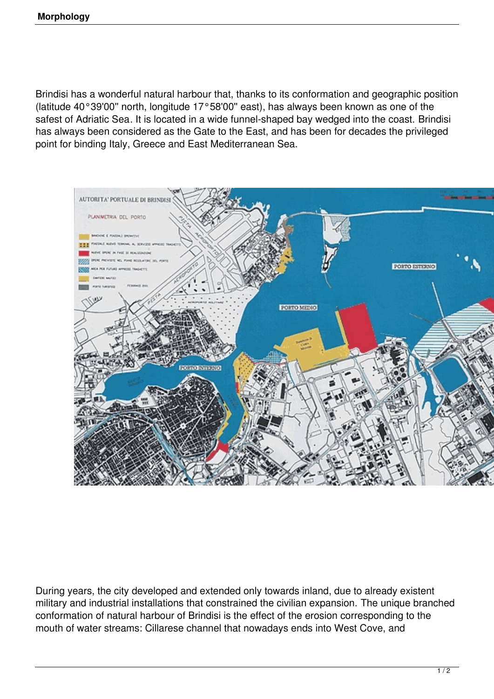Brindisi has a wonderful natural harbour that, thanks to its conformation and geographic position (latitude 40°39'00'' north, longitude 17°58'00'' east), has always been known as one of the safest of Adriatic Sea. It is located in a wide funnel-shaped bay wedged into the coast. Brindisi has always been considered as the Gate to the East, and has been for decades the privileged point for binding Italy, Greece and East Mediterranean Sea.



During years, the city developed and extended only towards inland, due to already existent military and industrial installations that constrained the civilian expansion. The unique branched conformation of natural harbour of Brindisi is the effect of the erosion corresponding to the mouth of water streams: Cillarese channel that nowadays ends into West Cove, and